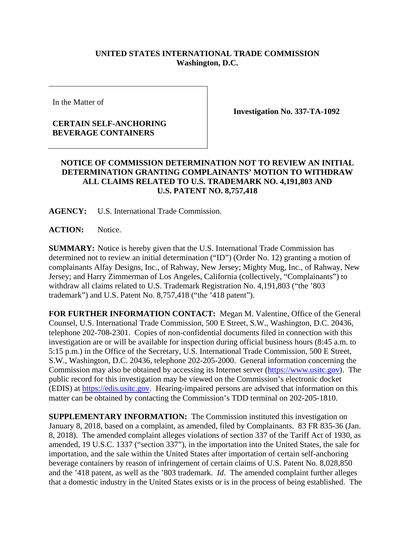## **UNITED STATES INTERNATIONAL TRADE COMMISSION Washington, D.C.**

In the Matter of

## **CERTAIN SELF-ANCHORING BEVERAGE CONTAINERS**

**Investigation No. 337-TA-1092** 

## **NOTICE OF COMMISSION DETERMINATION NOT TO REVIEW AN INITIAL DETERMINATION GRANTING COMPLAINANTS' MOTION TO WITHDRAW ALL CLAIMS RELATED TO U.S. TRADEMARK NO. 4,191,803 AND U.S. PATENT NO. 8,757,418**

**AGENCY:** U.S. International Trade Commission.

**ACTION:** Notice.

**SUMMARY:** Notice is hereby given that the U.S. International Trade Commission has determined not to review an initial determination ("ID") (Order No. 12) granting a motion of complainants Alfay Designs, Inc., of Rahway, New Jersey; Mighty Mug, Inc., of Rahway, New Jersey; and Harry Zimmerman of Los Angeles, California (collectively, "Complainants") to withdraw all claims related to U.S. Trademark Registration No. 4,191,803 ("the '803 trademark") and U.S. Patent No. 8,757,418 ("the '418 patent").

**FOR FURTHER INFORMATION CONTACT:** Megan M. Valentine, Office of the General Counsel, U.S. International Trade Commission, 500 E Street, S.W., Washington, D.C. 20436, telephone 202-708-2301. Copies of non-confidential documents filed in connection with this investigation are or will be available for inspection during official business hours (8:45 a.m. to 5:15 p.m.) in the Office of the Secretary, U.S. International Trade Commission, 500 E Street, S.W., Washington, D.C. 20436, telephone 202-205-2000. General information concerning the Commission may also be obtained by accessing its Internet server (https://www.usitc.gov). The public record for this investigation may be viewed on the Commission's electronic docket (EDIS) at https://edis.usitc.gov. Hearing-impaired persons are advised that information on this matter can be obtained by contacting the Commission's TDD terminal on 202-205-1810.

**SUPPLEMENTARY INFORMATION:** The Commission instituted this investigation on January 8, 2018, based on a complaint, as amended, filed by Complainants. 83 FR 835-36 (Jan. 8, 2018). The amended complaint alleges violations of section 337 of the Tariff Act of 1930, as amended, 19 U.S.C. 1337 ("section 337"), in the importation into the United States, the sale for importation, and the sale within the United States after importation of certain self-anchoring beverage containers by reason of infringement of certain claims of U.S. Patent No. 8,028,850 and the '418 patent, as well as the '803 trademark. *Id*. The amended complaint further alleges that a domestic industry in the United States exists or is in the process of being established. The